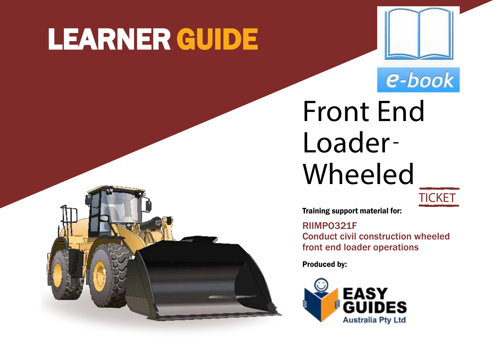# LEARNER GUIDE





Front End Loader-Wheeled



Training support material for:

RIIMPO321F

Conduct civil construction wheeled front end loader operations

Produced by:

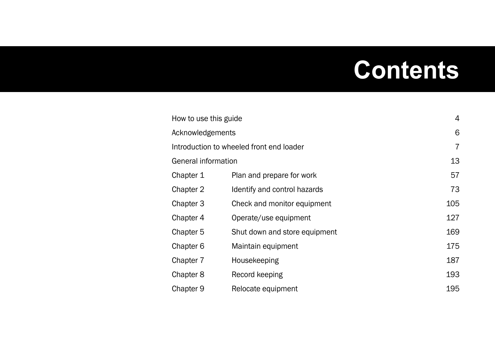### **Contents**

| How to use this guide                    |                               | $\overline{4}$ |
|------------------------------------------|-------------------------------|----------------|
| Acknowledgements                         |                               | 6              |
| Introduction to wheeled front end loader |                               | 7              |
| General information                      |                               | 13             |
| Chapter 1                                | Plan and prepare for work     | 57             |
| Chapter 2                                | Identify and control hazards  | 73             |
| Chapter 3                                | Check and monitor equipment   | 105            |
| Chapter 4                                | Operate/use equipment         | 127            |
| Chapter 5                                | Shut down and store equipment | 169            |
| Chapter 6                                | Maintain equipment            | 175            |
| Chapter 7                                | Housekeeping                  | 187            |
| Chapter 8                                | Record keeping                | 193            |
| Chapter 9                                | Relocate equipment            | 195            |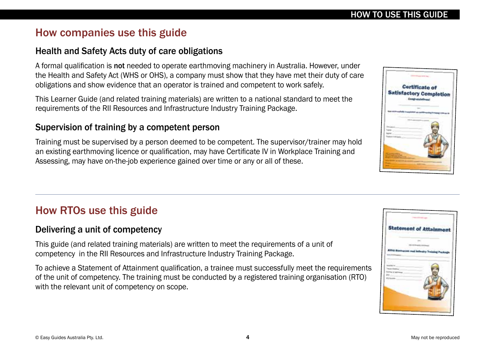### How companies use this guide

#### Health and Safety Acts duty of care obligations

A formal qualification is not needed to operate earthmoving machinery in Australia. However, under the Health and Safety Act (WHS or OHS), a company must show that they have met their duty of care obligations and show evidence that an operator is trained and competent to work safely.

This Learner Guide (and related training materials) are written to a national standard to meet the requirements of the RII Resources and Infrastructure Industry Training Package.

#### Supervision of training by a competent person

Training must be supervised by a person deemed to be competent. The supervisor/trainer may hold an existing earthmoving licence or qualification, may have Certificate IV in Workplace Training and Assessing, may have on-the-job experience gained over time or any or all of these.

### How RTOs use this guide

#### Delivering a unit of competency

This guide (and related training materials) are written to meet the requirements of a unit of competency in the RII Resources and Infrastructure Industry Training Package.

To achieve a Statement of Attainment qualification, a trainee must successfully meet the requirements of the unit of competency. The training must be conducted by a registered training organisation (RTO) with the relevant unit of competency on scope.



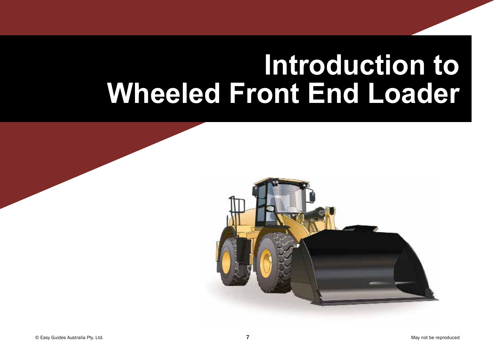## **Introduction to Wheeled Front End Loader**

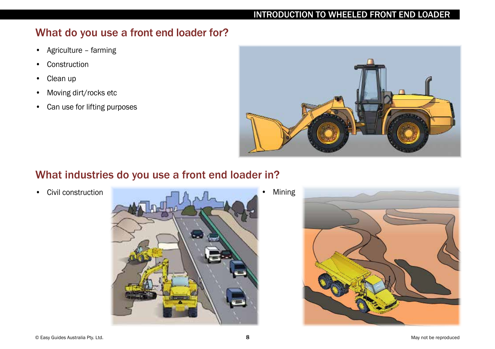#### INTRODUCTION TO WHEELED FRONT END LOADER

### What do you use a front end loader for?

- Agriculture farming
- Construction
- Clean up
- Moving dirt/rocks etc
- Can use for lifting purposes



### What industries do you use a front end loader in?



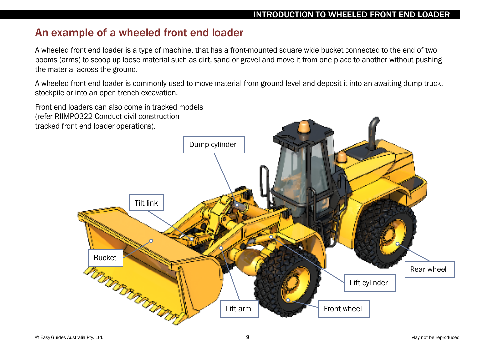#### An example of a wheeled front end loader

A wheeled front end loader is a type of machine, that has a front-mounted square wide bucket connected to the end of two booms (arms) to scoop up loose material such as dirt, sand or gravel and move it from one place to another without pushing the material across the ground.

A wheeled front end loader is commonly used to move material from ground level and deposit it into an awaiting dump truck, stockpile or into an open trench excavation.

Front end loaders can also come in tracked models (refer RIIMPO322 Conduct civil construction tracked front end loader operations).

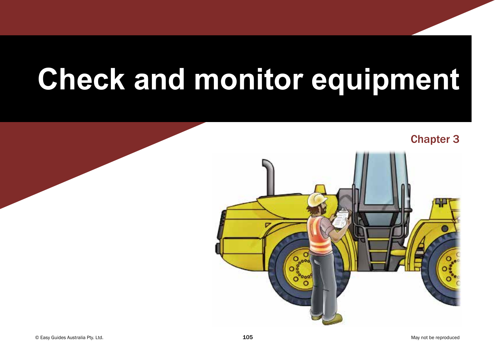# **Check and monitor equipment**



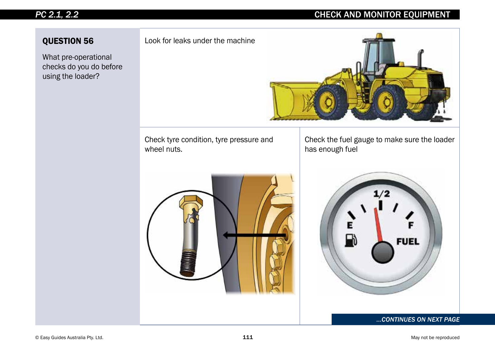#### *PC 2.1, 2.2*

#### CHECK AND MONITOR EQUIPMENT

#### QUESTION 56

What pre-operational checks do you do before using the loader?

Look for leaks under the machine



Check tyre condition, tyre pressure and wheel nuts.

Check the fuel gauge to make sure the loader has enough fuel





#### *...CONTINUES ON NEXT PAGE*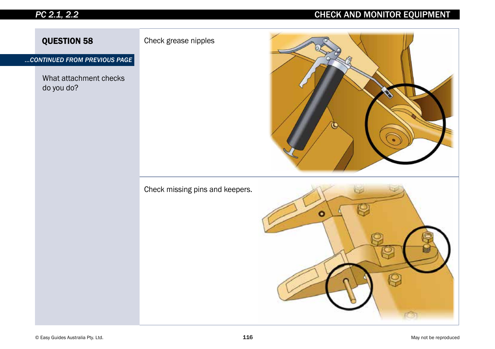#### *PC 2.1, 2.2*

#### CHECK AND MONITOR EQUIPMENT

QUESTION 58 Check grease nipples

*...CONTINUED FROM PREVIOUS PAGE*

What attachment checks do you do?





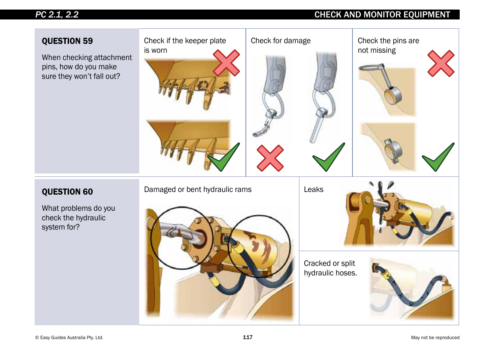#### *PC 2.1, 2.2*

#### CHECK AND MONITOR EQUIPMENT

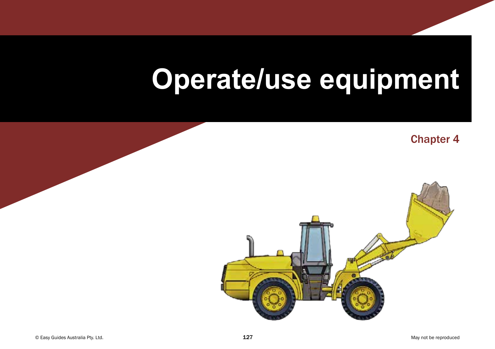## **Operate/use equipment**

Chapter 4